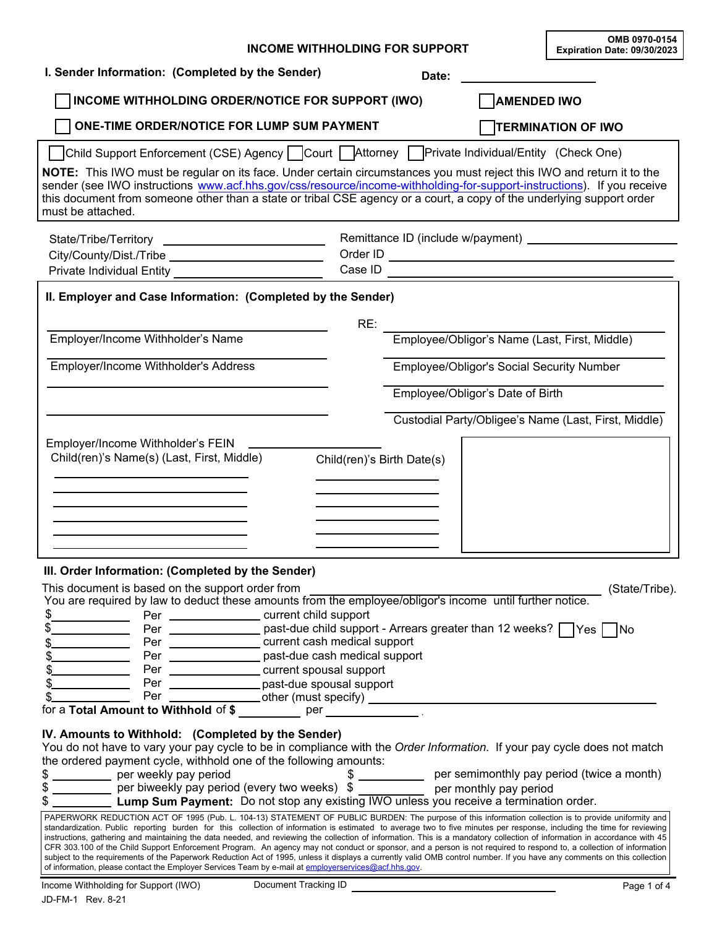|                                                                                                                                                                                                                                                                                                                                                                                                                                                                                                                                                                                                                                                                                                                                                                                                                                                                                                                                                                        | <b>INCOME WITHHOLDING FOR SUPPORT</b>                                                             |       |                                           | OMB 0970-0154<br>Expiration Date: 09/30/2023                |
|------------------------------------------------------------------------------------------------------------------------------------------------------------------------------------------------------------------------------------------------------------------------------------------------------------------------------------------------------------------------------------------------------------------------------------------------------------------------------------------------------------------------------------------------------------------------------------------------------------------------------------------------------------------------------------------------------------------------------------------------------------------------------------------------------------------------------------------------------------------------------------------------------------------------------------------------------------------------|---------------------------------------------------------------------------------------------------|-------|-------------------------------------------|-------------------------------------------------------------|
| I. Sender Information: (Completed by the Sender)                                                                                                                                                                                                                                                                                                                                                                                                                                                                                                                                                                                                                                                                                                                                                                                                                                                                                                                       |                                                                                                   | Date: |                                           |                                                             |
| INCOME WITHHOLDING ORDER/NOTICE FOR SUPPORT (IWO)                                                                                                                                                                                                                                                                                                                                                                                                                                                                                                                                                                                                                                                                                                                                                                                                                                                                                                                      |                                                                                                   |       | <b>AMENDED IWO</b>                        |                                                             |
| ONE-TIME ORDER/NOTICE FOR LUMP SUM PAYMENT                                                                                                                                                                                                                                                                                                                                                                                                                                                                                                                                                                                                                                                                                                                                                                                                                                                                                                                             |                                                                                                   |       |                                           | <b>TERMINATION OF IWO</b>                                   |
| Ohild Support Enforcement (CSE) Agency DCourt DAttorney DPrivate Individual/Entity (Check One)                                                                                                                                                                                                                                                                                                                                                                                                                                                                                                                                                                                                                                                                                                                                                                                                                                                                         |                                                                                                   |       |                                           |                                                             |
| NOTE: This IWO must be regular on its face. Under certain circumstances you must reject this IWO and return it to the<br>sender (see IWO instructions www.acf.hhs.gov/css/resource/income-withholding-for-support-instructions). If you receive<br>this document from someone other than a state or tribal CSE agency or a court, a copy of the underlying support order<br>must be attached.                                                                                                                                                                                                                                                                                                                                                                                                                                                                                                                                                                          |                                                                                                   |       |                                           |                                                             |
|                                                                                                                                                                                                                                                                                                                                                                                                                                                                                                                                                                                                                                                                                                                                                                                                                                                                                                                                                                        |                                                                                                   |       |                                           |                                                             |
|                                                                                                                                                                                                                                                                                                                                                                                                                                                                                                                                                                                                                                                                                                                                                                                                                                                                                                                                                                        |                                                                                                   |       |                                           |                                                             |
|                                                                                                                                                                                                                                                                                                                                                                                                                                                                                                                                                                                                                                                                                                                                                                                                                                                                                                                                                                        |                                                                                                   |       |                                           |                                                             |
| II. Employer and Case Information: (Completed by the Sender)                                                                                                                                                                                                                                                                                                                                                                                                                                                                                                                                                                                                                                                                                                                                                                                                                                                                                                           | RE:                                                                                               |       |                                           |                                                             |
| Employer/Income Withholder's Name                                                                                                                                                                                                                                                                                                                                                                                                                                                                                                                                                                                                                                                                                                                                                                                                                                                                                                                                      |                                                                                                   |       |                                           | Employee/Obligor's Name (Last, First, Middle)               |
| Employer/Income Withholder's Address                                                                                                                                                                                                                                                                                                                                                                                                                                                                                                                                                                                                                                                                                                                                                                                                                                                                                                                                   |                                                                                                   |       | Employee/Obligor's Social Security Number |                                                             |
|                                                                                                                                                                                                                                                                                                                                                                                                                                                                                                                                                                                                                                                                                                                                                                                                                                                                                                                                                                        |                                                                                                   |       | Employee/Obligor's Date of Birth          |                                                             |
|                                                                                                                                                                                                                                                                                                                                                                                                                                                                                                                                                                                                                                                                                                                                                                                                                                                                                                                                                                        |                                                                                                   |       |                                           |                                                             |
|                                                                                                                                                                                                                                                                                                                                                                                                                                                                                                                                                                                                                                                                                                                                                                                                                                                                                                                                                                        |                                                                                                   |       |                                           | Custodial Party/Obligee's Name (Last, First, Middle)        |
| Employer/Income Withholder's FEIN<br>Child(ren)'s Name(s) (Last, First, Middle)                                                                                                                                                                                                                                                                                                                                                                                                                                                                                                                                                                                                                                                                                                                                                                                                                                                                                        | Child(ren)'s Birth Date(s)                                                                        |       |                                           |                                                             |
| III. Order Information: (Completed by the Sender)                                                                                                                                                                                                                                                                                                                                                                                                                                                                                                                                                                                                                                                                                                                                                                                                                                                                                                                      |                                                                                                   |       |                                           |                                                             |
| This document is based on the support order from<br>You are required by law to deduct these amounts from the employee/obligor's income until further notice.                                                                                                                                                                                                                                                                                                                                                                                                                                                                                                                                                                                                                                                                                                                                                                                                           |                                                                                                   |       |                                           | (State/Tribe).                                              |
| \$                                                                                                                                                                                                                                                                                                                                                                                                                                                                                                                                                                                                                                                                                                                                                                                                                                                                                                                                                                     | Per _____________________ current child support                                                   |       |                                           |                                                             |
|                                                                                                                                                                                                                                                                                                                                                                                                                                                                                                                                                                                                                                                                                                                                                                                                                                                                                                                                                                        | Per _________________ past-due child support - Arrears greater than 12 weeks? □Yes □No            |       |                                           |                                                             |
|                                                                                                                                                                                                                                                                                                                                                                                                                                                                                                                                                                                                                                                                                                                                                                                                                                                                                                                                                                        | Per _________________ current cash medical support                                                |       |                                           |                                                             |
|                                                                                                                                                                                                                                                                                                                                                                                                                                                                                                                                                                                                                                                                                                                                                                                                                                                                                                                                                                        | Per ________________ past-due cash medical support<br>Per ________________current spousal support |       |                                           |                                                             |
|                                                                                                                                                                                                                                                                                                                                                                                                                                                                                                                                                                                                                                                                                                                                                                                                                                                                                                                                                                        | Per _________________past-due spousal support                                                     |       |                                           |                                                             |
| Per                                                                                                                                                                                                                                                                                                                                                                                                                                                                                                                                                                                                                                                                                                                                                                                                                                                                                                                                                                    |                                                                                                   |       |                                           |                                                             |
|                                                                                                                                                                                                                                                                                                                                                                                                                                                                                                                                                                                                                                                                                                                                                                                                                                                                                                                                                                        |                                                                                                   |       |                                           |                                                             |
| IV. Amounts to Withhold: (Completed by the Sender)<br>You do not have to vary your pay cycle to be in compliance with the Order Information. If your pay cycle does not match<br>the ordered payment cycle, withhold one of the following amounts:<br>\$ __________ per weekly pay period<br>per needly pay period (every two weeks) \$<br>Lump Sum Payment: Do not stop any existing IWO unless you receive a termination order.                                                                                                                                                                                                                                                                                                                                                                                                                                                                                                                                      |                                                                                                   |       |                                           | \$ _____________ per semimonthly pay period (twice a month) |
| PAPERWORK REDUCTION ACT OF 1995 (Pub. L. 104-13) STATEMENT OF PUBLIC BURDEN: The purpose of this information collection is to provide uniformity and<br>standardization. Public reporting burden for this collection of information is estimated to average two to five minutes per response, including the time for reviewing<br>instructions, gathering and maintaining the data needed, and reviewing the collection of information. This is a mandatory collection of information in accordance with 45<br>CFR 303.100 of the Child Support Enforcement Program. An agency may not conduct or sponsor, and a person is not required to respond to, a collection of information<br>subject to the requirements of the Paperwork Reduction Act of 1995, unless it displays a currently valid OMB control number. If you have any comments on this collection<br>of information, please contact the Employer Services Team by e-mail at employerservices@acf.hhs.gov. |                                                                                                   |       |                                           |                                                             |
| Income Withholding for Support (IWO)                                                                                                                                                                                                                                                                                                                                                                                                                                                                                                                                                                                                                                                                                                                                                                                                                                                                                                                                   | Document Tracking ID                                                                              |       |                                           | Page 1 of 4                                                 |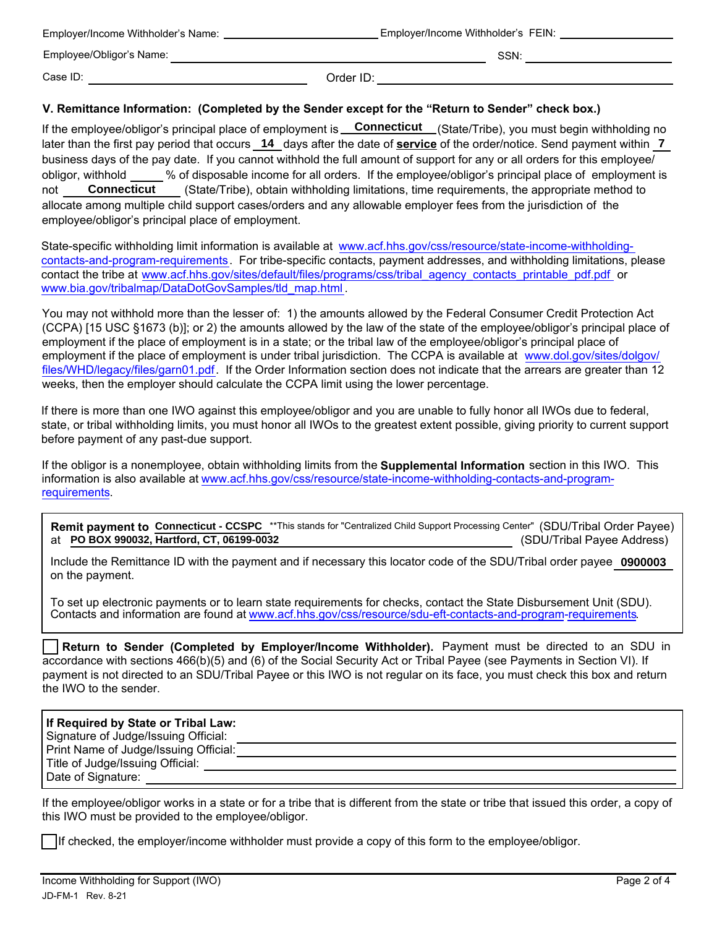| Employer/Income Withholder's Name: | Employer/Income Withholder's FEIN: |      |
|------------------------------------|------------------------------------|------|
| Employee/Obligor's Name:           |                                    | SSN: |
| Case ID:                           | Order ID:                          |      |

## **V. Remittance Information: (Completed by the Sender except for the "Return to Sender" check box.)**

If the employee/obligor's principal place of employment is \_\_**Connecticut** \_\_(State/Tribe), you must begin withholding no later than the first pay period that occurs \_**14** \_days after the date of **<u>service</u>** of the order/notice. Send payment within \_**7** business days of the pay date. If you cannot withhold the full amount of support for any or all orders for this employee/ obligor, withhold % of disposable income for all orders. If the employee/obligor's principal place of employment is not **Connecticut** (State/Tribe), obtain withholding limitations, time requirements, the appropriate method to allocate among multiple child support cases/orders and any allowable employer fees from the jurisdiction of the employee/obligor's principal place of employment. **Connecticut**

State-specific withholding limit information is available at www.acf.hhs.gov/css/resource/state-income-withholdingcontacts-and-program-requirements. For tribe-specific contacts, payment addresses, and withholding limitations, please contact the tribe at www.acf.hhs.gov/sites/default/files/programs/css/tribal\_agency\_contacts\_printable\_pdf.pdf or www.bia.gov/tribalmap/DataDotGovSamples/tld\_map.html .

You may not withhold more than the lesser of: 1) the amounts allowed by the Federal Consumer Credit Protection Act (CCPA) [15 USC §1673 (b)]; or 2) the amounts allowed by the law of the state of the employee/obligor's principal place of employment if the place of employment is in a state; or the tribal law of the employee/obligor's principal place of [employment if the place of employment is under tribal jurisdiction. The CCPA is available at www.dol.gov/sites/dolgov/](www.dol.gov/sites/dolgov/files/WHD/legacy/files/garn01.pdf) files/WHD/legacy/files/garn01.pdf. If the Order Information section does not indicate that the arrears are greater than 12 weeks, then the employer should calculate the CCPA limit using the lower percentage.

If there is more than one IWO against this employee/obligor and you are unable to fully honor all IWOs due to federal, state, or tribal withholding limits, you must honor all IWOs to the greatest extent possible, giving priority to current support before payment of any past-due support.

If the obligor is a nonemployee, obtain withholding limits from the **Supplemental Information** section in this IWO. This information is also available at www.acf.hhs.gov/css/resource/state-income-withholding-contacts-and-programrequirements.

Remit payment to Connecticut - CCSPC \*\*This stands for "Centralized Child Support Processing Center" (SDU/Tribal Order Payee) at **PO BOX 990032, Hartford, CT, 06199-0032** (SDU/Tribal Payee Address)

Include the Remittance ID with the payment and if necessary this locator code of the SDU/Tribal order payee **0900003**on the payment.

To set up electronic payments or to learn state requirements for checks, contact the State Disbursement Unit (SDU). Contacts and information are found at www.acf.hhs.gov/css/resource/sdu-eft-contacts-and-program-requirements.

**Return to Sender (Completed by Employer/Income Withholder).** Payment must be directed to an SDU in accordance with sections 466(b)(5) and (6) of the Social Security Act or Tribal Payee (see Payments in Section VI). If payment is not directed to an SDU/Tribal Payee or this IWO is not regular on its face, you must check this box and return the IWO to the sender.

| If Required by State or Tribal Law:<br>Signature of Judge/Issuing Official: |  |
|-----------------------------------------------------------------------------|--|
| Print Name of Judge/Issuing Official:                                       |  |
| Title of Judge/Issuing Official:                                            |  |
| Date of Signature:                                                          |  |

If the employee/obligor works in a state or for a tribe that is different from the state or tribe that issued this order, a copy of this IWO must be provided to the employee/obligor.

If checked, the employer/income withholder must provide a copy of this form to the employee/obligor.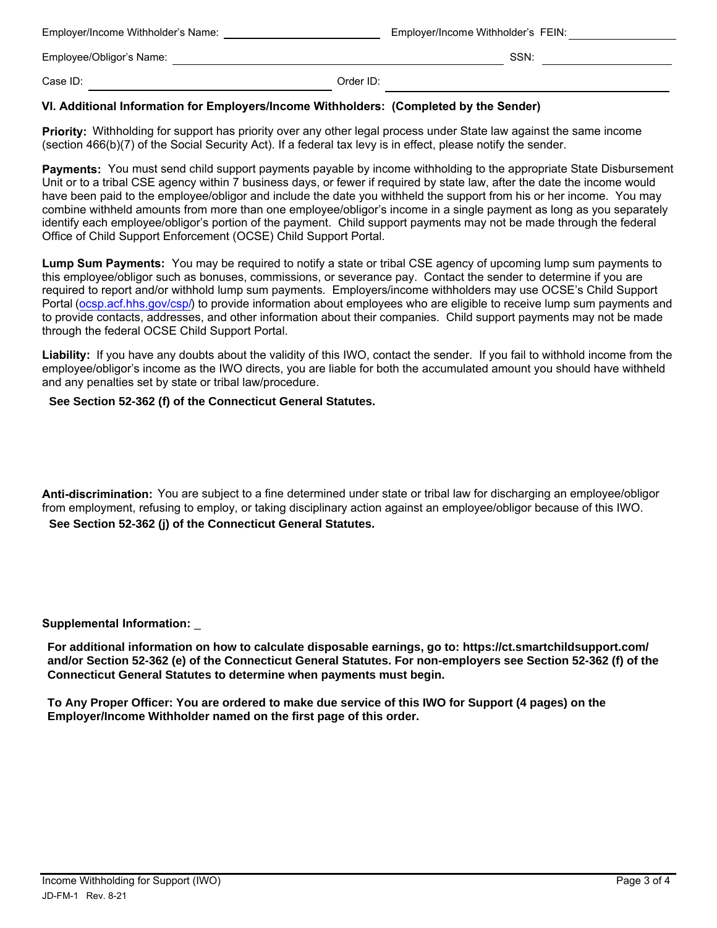| Employer/Income Withholder's Name: |           | Employer/Income Withholder's FEIN: |  |
|------------------------------------|-----------|------------------------------------|--|
| Employee/Obligor's Name:           |           | SSN:                               |  |
| Case ID:                           | Order ID: |                                    |  |

## **VI. Additional Information for Employers/Income Withholders: (Completed by the Sender)**

**Priority:** Withholding for support has priority over any other legal process under State law against the same income (section 466(b)(7) of the Social Security Act). If a federal tax levy is in effect, please notify the sender.

**Payments:** You must send child support payments payable by income withholding to the appropriate State Disbursement Unit or to a tribal CSE agency within 7 business days, or fewer if required by state law, after the date the income would have been paid to the employee/obligor and include the date you withheld the support from his or her income. You may combine withheld amounts from more than one employee/obligor's income in a single payment as long as you separately identify each employee/obligor's portion of the payment. Child support payments may not be made through the federal Office of Child Support Enforcement (OCSE) Child Support Portal.

**Lump Sum Payments:** You may be required to notify a state or tribal CSE agency of upcoming lump sum payments to this employee/obligor such as bonuses, commissions, or severance pay. Contact the sender to determine if you are required to report and/or withhold lump sum payments. Employers/income withholders may use OCSE's Child Support Portal ([ocsp.acf.hhs.gov/csp/\)](ocsp.acf.hhs.gov/csp/) to provide information about employees who are eligible to receive lump sum payments and to provide contacts, addresses, and other information about their companies. Child support payments may not be made through the federal OCSE Child Support Portal.

**Liability:** If you have any doubts about the validity of this IWO, contact the sender. If you fail to withhold income from the employee/obligor's income as the IWO directs, you are liable for both the accumulated amount you should have withheld and any penalties set by state or tribal law/procedure.

## **See Section 52-362 (f) of the Connecticut General Statutes.**

**Anti-discrimination:** You are subject to a fine determined under state or tribal law for discharging an employee/obligor from employment, refusing to employ, or taking disciplinary action against an employee/obligor because of this IWO. **See Section 52-362 (j) of the Connecticut General Statutes.**

**Supplemental Information:** \_

**For additional information on how to calculate disposable earnings, go to: https://ct.smartchildsupport.com/ and/or Section 52-362 (e) of the Connecticut General Statutes. For non-employers see Section 52-362 (f) of the Connecticut General Statutes to determine when payments must begin.** 

**To Any Proper Officer: You are ordered to make due service of this IWO for Support (4 pages) on the Employer/Income Withholder named on the first page of this order.**